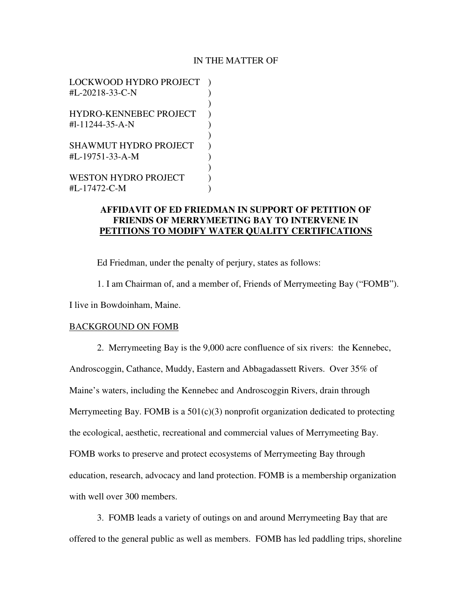## IN THE MATTER OF

LOCKWOOD HYDRO PROJECT ) #L-20218-33-C-N )  $)$ HYDRO-KENNEBEC PROJECT )  $\text{H}$ -11244-35-A-N )  $)$ SHAWMUT HYDRO PROJECT ) #L-19751-33-A-M )  $)$ WESTON HYDRO PROJECT  $\qquad$  ) #L-17472-C-M )

# **AFFIDAVIT OF ED FRIEDMAN IN SUPPORT OF PETITION OF FRIENDS OF MERRYMEETING BAY TO INTERVENE IN PETITIONS TO MODIFY WATER QUALITY CERTIFICATIONS**

Ed Friedman, under the penalty of perjury, states as follows:

 1. I am Chairman of, and a member of, Friends of Merrymeeting Bay ("FOMB"). I live in Bowdoinham, Maine.

# BACKGROUND ON FOMB

 2. Merrymeeting Bay is the 9,000 acre confluence of six rivers: the Kennebec, Androscoggin, Cathance, Muddy, Eastern and Abbagadassett Rivers. Over 35% of Maine's waters, including the Kennebec and Androscoggin Rivers, drain through Merrymeeting Bay. FOMB is a  $501(c)(3)$  nonprofit organization dedicated to protecting the ecological, aesthetic, recreational and commercial values of Merrymeeting Bay. FOMB works to preserve and protect ecosystems of Merrymeeting Bay through education, research, advocacy and land protection. FOMB is a membership organization with well over 300 members.

 3. FOMB leads a variety of outings on and around Merrymeeting Bay that are offered to the general public as well as members. FOMB has led paddling trips, shoreline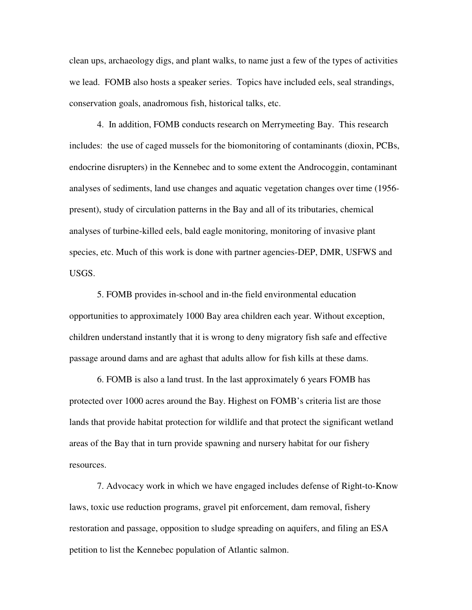clean ups, archaeology digs, and plant walks, to name just a few of the types of activities we lead. FOMB also hosts a speaker series. Topics have included eels, seal strandings, conservation goals, anadromous fish, historical talks, etc.

 4. In addition, FOMB conducts research on Merrymeeting Bay. This research includes: the use of caged mussels for the biomonitoring of contaminants (dioxin, PCBs, endocrine disrupters) in the Kennebec and to some extent the Androcoggin, contaminant analyses of sediments, land use changes and aquatic vegetation changes over time (1956 present), study of circulation patterns in the Bay and all of its tributaries, chemical analyses of turbine-killed eels, bald eagle monitoring, monitoring of invasive plant species, etc. Much of this work is done with partner agencies-DEP, DMR, USFWS and USGS.

 5. FOMB provides in-school and in-the field environmental education opportunities to approximately 1000 Bay area children each year. Without exception, children understand instantly that it is wrong to deny migratory fish safe and effective passage around dams and are aghast that adults allow for fish kills at these dams.

 6. FOMB is also a land trust. In the last approximately 6 years FOMB has protected over 1000 acres around the Bay. Highest on FOMB's criteria list are those lands that provide habitat protection for wildlife and that protect the significant wetland areas of the Bay that in turn provide spawning and nursery habitat for our fishery resources.

 7. Advocacy work in which we have engaged includes defense of Right-to-Know laws, toxic use reduction programs, gravel pit enforcement, dam removal, fishery restoration and passage, opposition to sludge spreading on aquifers, and filing an ESA petition to list the Kennebec population of Atlantic salmon.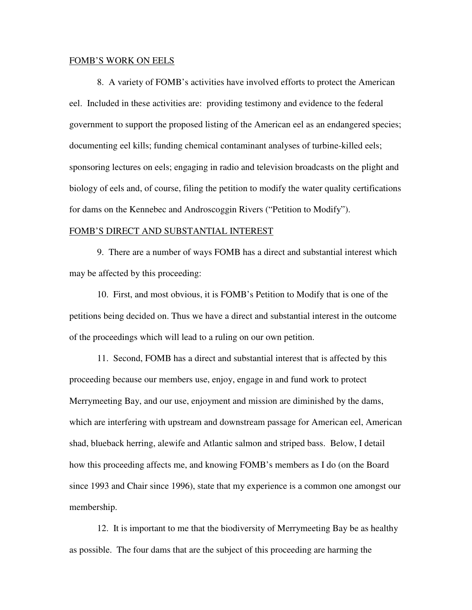#### FOMB'S WORK ON EELS

 8. A variety of FOMB's activities have involved efforts to protect the American eel. Included in these activities are: providing testimony and evidence to the federal government to support the proposed listing of the American eel as an endangered species; documenting eel kills; funding chemical contaminant analyses of turbine-killed eels; sponsoring lectures on eels; engaging in radio and television broadcasts on the plight and biology of eels and, of course, filing the petition to modify the water quality certifications for dams on the Kennebec and Androscoggin Rivers ("Petition to Modify").

### FOMB'S DIRECT AND SUBSTANTIAL INTEREST

 9. There are a number of ways FOMB has a direct and substantial interest which may be affected by this proceeding:

 10. First, and most obvious, it is FOMB's Petition to Modify that is one of the petitions being decided on. Thus we have a direct and substantial interest in the outcome of the proceedings which will lead to a ruling on our own petition.

 11. Second, FOMB has a direct and substantial interest that is affected by this proceeding because our members use, enjoy, engage in and fund work to protect Merrymeeting Bay, and our use, enjoyment and mission are diminished by the dams, which are interfering with upstream and downstream passage for American eel, American shad, blueback herring, alewife and Atlantic salmon and striped bass. Below, I detail how this proceeding affects me, and knowing FOMB's members as I do (on the Board since 1993 and Chair since 1996), state that my experience is a common one amongst our membership.

 12. It is important to me that the biodiversity of Merrymeeting Bay be as healthy as possible. The four dams that are the subject of this proceeding are harming the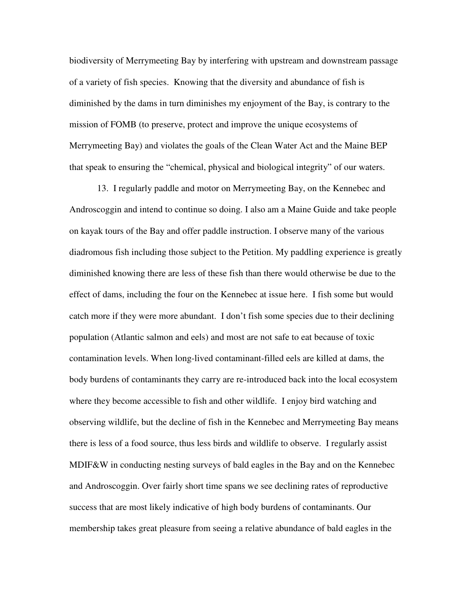biodiversity of Merrymeeting Bay by interfering with upstream and downstream passage of a variety of fish species. Knowing that the diversity and abundance of fish is diminished by the dams in turn diminishes my enjoyment of the Bay, is contrary to the mission of FOMB (to preserve, protect and improve the unique ecosystems of Merrymeeting Bay) and violates the goals of the Clean Water Act and the Maine BEP that speak to ensuring the "chemical, physical and biological integrity" of our waters.

13. I regularly paddle and motor on Merrymeeting Bay, on the Kennebec and Androscoggin and intend to continue so doing. I also am a Maine Guide and take people on kayak tours of the Bay and offer paddle instruction. I observe many of the various diadromous fish including those subject to the Petition. My paddling experience is greatly diminished knowing there are less of these fish than there would otherwise be due to the effect of dams, including the four on the Kennebec at issue here. I fish some but would catch more if they were more abundant. I don't fish some species due to their declining population (Atlantic salmon and eels) and most are not safe to eat because of toxic contamination levels. When long-lived contaminant-filled eels are killed at dams, the body burdens of contaminants they carry are re-introduced back into the local ecosystem where they become accessible to fish and other wildlife. I enjoy bird watching and observing wildlife, but the decline of fish in the Kennebec and Merrymeeting Bay means there is less of a food source, thus less birds and wildlife to observe. I regularly assist MDIF&W in conducting nesting surveys of bald eagles in the Bay and on the Kennebec and Androscoggin. Over fairly short time spans we see declining rates of reproductive success that are most likely indicative of high body burdens of contaminants. Our membership takes great pleasure from seeing a relative abundance of bald eagles in the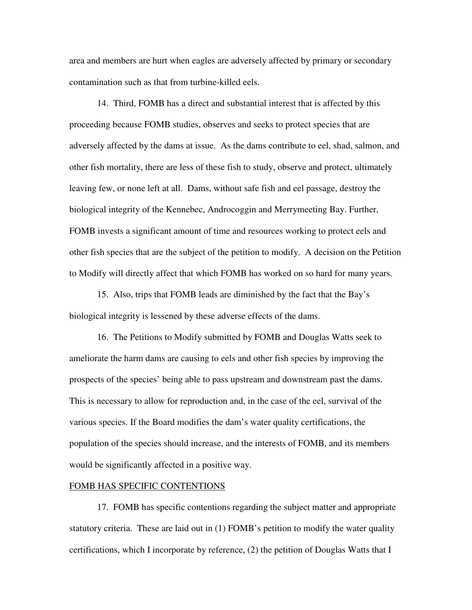area and members are hurt when eagles are adversely affected by primary or secondary contamination such as that from turbine-killed eels.

 14. Third, FOMB has a direct and substantial interest that is affected by this proceeding because FOMB studies, observes and seeks to protect species that are adversely affected by the dams at issue. As the dams contribute to eel, shad, salmon, and other fish mortality, there are less of these fish to study, observe and protect, ultimately leaving few, or none left at all. Dams, without safe fish and eel passage, destroy the biological integrity of the Kennebec, Androcoggin and Merrymeeting Bay. Further, FOMB invests a significant amount of time and resources working to protect eels and other fish species that are the subject of the petition to modify. A decision on the Petition to Modify will directly affect that which FOMB has worked on so hard for many years.

 15. Also, trips that FOMB leads are diminished by the fact that the Bay's biological integrity is lessened by these adverse effects of the dams.

 16. The Petitions to Modify submitted by FOMB and Douglas Watts seek to ameliorate the harm dams are causing to eels and other fish species by improving the prospects of the species' being able to pass upstream and downstream past the dams. This is necessary to allow for reproduction and, in the case of the eel, survival of the various species. If the Board modifies the dam's water quality certifications, the population of the species should increase, and the interests of FOMB, and its members would be significantly affected in a positive way.

### FOMB HAS SPECIFIC CONTENTIONS

 17. FOMB has specific contentions regarding the subject matter and appropriate statutory criteria. These are laid out in (1) FOMB's petition to modify the water quality certifications, which I incorporate by reference, (2) the petition of Douglas Watts that I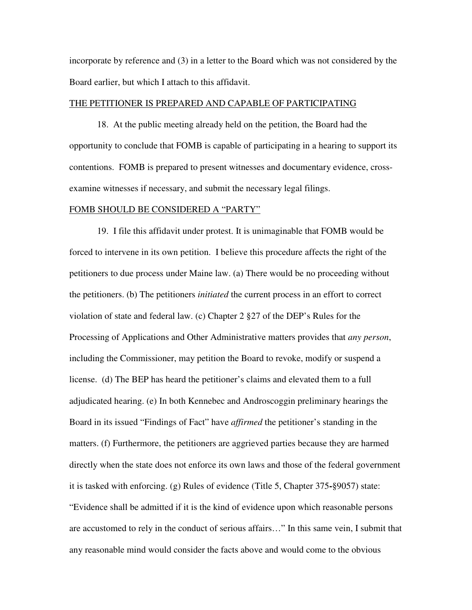incorporate by reference and (3) in a letter to the Board which was not considered by the Board earlier, but which I attach to this affidavit.

### THE PETITIONER IS PREPARED AND CAPABLE OF PARTICIPATING

 18. At the public meeting already held on the petition, the Board had the opportunity to conclude that FOMB is capable of participating in a hearing to support its contentions. FOMB is prepared to present witnesses and documentary evidence, crossexamine witnesses if necessary, and submit the necessary legal filings.

### FOMB SHOULD BE CONSIDERED A "PARTY"

 19. I file this affidavit under protest. It is unimaginable that FOMB would be forced to intervene in its own petition. I believe this procedure affects the right of the petitioners to due process under Maine law. (a) There would be no proceeding without the petitioners. (b) The petitioners *initiated* the current process in an effort to correct violation of state and federal law. (c) Chapter 2 §27 of the DEP's Rules for the Processing of Applications and Other Administrative matters provides that *any person*, including the Commissioner, may petition the Board to revoke, modify or suspend a license. (d) The BEP has heard the petitioner's claims and elevated them to a full adjudicated hearing. (e) In both Kennebec and Androscoggin preliminary hearings the Board in its issued "Findings of Fact" have *affirmed* the petitioner's standing in the matters. (f) Furthermore, the petitioners are aggrieved parties because they are harmed directly when the state does not enforce its own laws and those of the federal government it is tasked with enforcing. (g) Rules of evidence (Title 5, Chapter 375**-**§9057) state: "Evidence shall be admitted if it is the kind of evidence upon which reasonable persons are accustomed to rely in the conduct of serious affairs…" In this same vein, I submit that any reasonable mind would consider the facts above and would come to the obvious